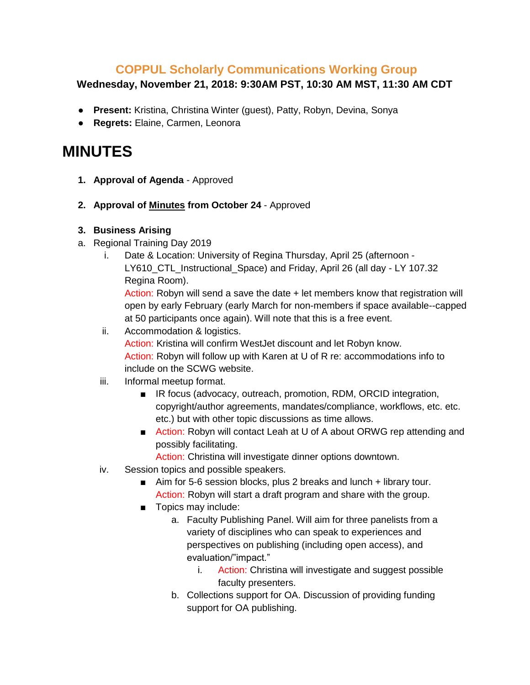## **COPPUL Scholarly Communications Working Group**

## **Wednesday, November 21, 2018: 9:30AM PST, 10:30 AM MST, 11:30 AM CDT**

- **Present:** Kristina, Christina Winter (guest), Patty, Robyn, Devina, Sonya
- **Regrets:** Elaine, Carmen, Leonora

## **MINUTES**

- **1. Approval of Agenda** Approved
- **2. Approval of Minutes from October 24**  Approved

## **3. Business Arising**

- a. Regional Training Day 2019
	- i. Date & Location: University of Regina Thursday, April 25 (afternoon
		- LY610 CTL Instructional Space) and Friday, April 26 (all day LY 107.32 Regina Room).

Action: Robyn will send a save the date + let members know that registration will open by early February (early March for non-members if space available--capped at 50 participants once again). Will note that this is a free event.

- ii. Accommodation & logistics. Action: Kristina will confirm WestJet discount and let Robyn know. Action: Robyn will follow up with Karen at U of R re: accommodations info to include on the SCWG website.
- iii. Informal meetup format.
	- IR focus (advocacy, outreach, promotion, RDM, ORCID integration, copyright/author agreements, mandates/compliance, workflows, etc. etc. etc.) but with other topic discussions as time allows.
	- Action: Robyn will contact Leah at U of A about ORWG rep attending and possibly facilitating.
		- Action: Christina will investigate dinner options downtown.
- iv. Session topics and possible speakers.
	- Aim for 5-6 session blocks, plus 2 breaks and lunch + library tour. Action: Robyn will start a draft program and share with the group.
	- Topics may include:
		- a. Faculty Publishing Panel. Will aim for three panelists from a variety of disciplines who can speak to experiences and perspectives on publishing (including open access), and evaluation/"impact."
			- i. Action: Christina will investigate and suggest possible faculty presenters.
		- b. Collections support for OA. Discussion of providing funding support for OA publishing.